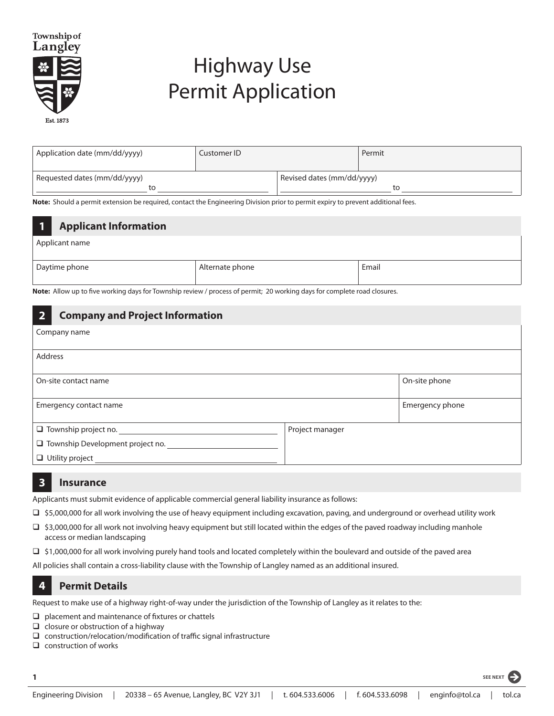

# Highway Use Permit Application

| Application date (mm/dd/yyyy)      | Customer ID |                            | Permit |
|------------------------------------|-------------|----------------------------|--------|
| Requested dates (mm/dd/yyyy)<br>τо |             | Revised dates (mm/dd/yyyy) | τо     |

**Note:** Should a permit extension be required, contact the Engineering Division prior to permit expiry to prevent additional fees.

#### **1 Applicant Information**

Applicant name

| Alternate phone | $\overline{\phantom{a}}$<br>Email |
|-----------------|-----------------------------------|
|                 |                                   |

**Note:** Allow up to five working days for Township review / process of permit; 20 working days for complete road closures.

## **2 Company and Project Information** Company name Address On-site contact name **On-site phone**  $\setminus$  On-site phone Emergency contact name Emergency phone  $\Box$  Township project no.  $\Box$  Township Development project no. **Utility project** Project manager

**3 Insurance**

Applicants must submit evidence of applicable commercial general liability insurance as follows:

- $\Box$ \$5,000,000 for all work involving the use of heavy equipment including excavation, paving, and underground or overhead utility work
- $\square$  \$3,000,000 for all work not involving heavy equipment but still located within the edges of the paved roadway including manhole access or median landscaping
- □ \$1,000,000 for all work involving purely hand tools and located completely within the boulevard and outside of the paved area

All policies shall contain a cross-liability clause with the Township of Langley named as an additional insured.

### **4 Permit Details**

Request to make use of a highway right-of-way under the jurisdiction of the Township of Langley as it relates to the:

- $\Box$  placement and maintenance of fixtures or chattels
- $\Box$  closure or obstruction of a highway
- $\Box$  construction/relocation/modification of traffic signal infrastructure
- $\Box$  construction of works

**1 SEE NEXT**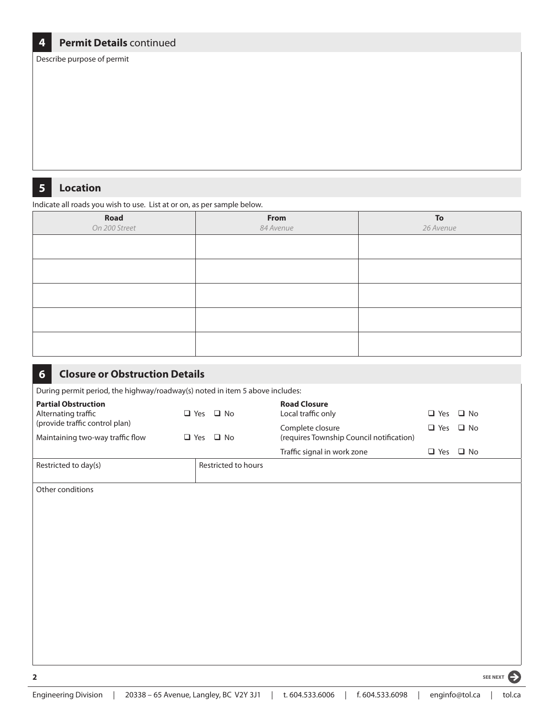#### **4 Permit Details** continued

Describe purpose of permit

#### **5 Location**

Indicate all roads you wish to use. List at or on, as per sample below.

| Road<br>On 200 Street | From<br>84 Avenue | To<br>26 Avenue |
|-----------------------|-------------------|-----------------|
|                       |                   |                 |
|                       |                   |                 |
|                       |                   |                 |
|                       |                   |                 |
|                       |                   |                 |

| <b>Closure or Obstruction Details</b><br>6                                   |                      |                                                              |                      |           |
|------------------------------------------------------------------------------|----------------------|--------------------------------------------------------------|----------------------|-----------|
| During permit period, the highway/roadway(s) noted in item 5 above includes: |                      |                                                              |                      |           |
| <b>Partial Obstruction</b><br>Alternating traffic                            | $\Box$ Yes $\Box$ No | <b>Road Closure</b><br>Local traffic only                    | $\Box$ Yes           | $\Box$ No |
| (provide traffic control plan)<br>Maintaining two-way traffic flow           | $\Box$ Yes $\Box$ No | Complete closure<br>(requires Township Council notification) | $\Box$ Yes           | $\Box$ No |
|                                                                              |                      | Traffic signal in work zone                                  | $\Box$ Yes $\Box$ No |           |
| Restricted to day(s)                                                         | Restricted to hours  |                                                              |                      |           |
| Other conditions                                                             |                      |                                                              |                      |           |
| $\overline{\mathbf{2}}$                                                      |                      |                                                              |                      | SEE NEXT  |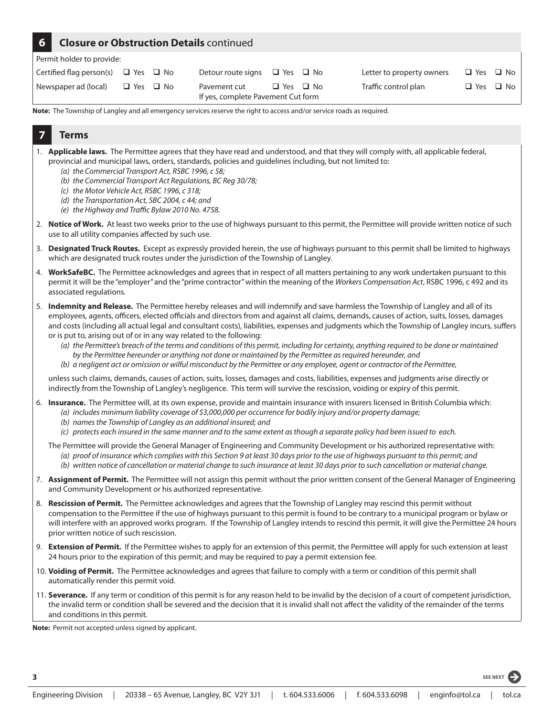#### **6 Closure or Obstruction Details** continued

Permit holder to provide:

| Certified flag person(s) $\Box$ Yes $\Box$ No |                      | Detour route signs $\Box$ Yes $\Box$ No            |                      | Letter to property owners | $\Box$ Yes $\Box$ No |  |
|-----------------------------------------------|----------------------|----------------------------------------------------|----------------------|---------------------------|----------------------|--|
| Newspaper ad (local)                          | $\Box$ Yes $\Box$ No | Pavement cut<br>If yes, complete Pavement Cut form | $\Box$ Yes $\Box$ No | Traffic control plan      | $\Box$ Yes $\Box$ No |  |

**Note:** The Township of Langley and all emergency services reserve the right to access and/or service roads as required.

#### **7 Terms**

- 1. **Applicable laws.** The Permittee agrees that they have read and understood, and that they will comply with, all applicable federal, provincial and municipal laws, orders, standards, policies and guidelines including, but not limited to:
	- *(a) the Commercial Transport Act, RSBC 1996, c 58;*
	- *(b) the Commercial Transport Act Regulations, BC Reg 30/78;*
	- *(c) the Motor Vehicle Act, RSBC 1996, c 318;*
	- *(d) the Transportation Act, SBC 2004, c 44; and*
	- *(e) the Highway and Traffic Bylaw 2010 No. 4758.*
- 2. **Notice of Work.** At least two weeks prior to the use of highways pursuant to this permit, the Permittee will provide written notice of such use to all utility companies affected by such use.
- 3. **Designated Truck Routes.** Except as expressly provided herein, the use of highways pursuant to this permit shall be limited to highways which are designated truck routes under the jurisdiction of the Township of Langley.
- 4. **WorkSafeBC.** The Permittee acknowledges and agrees that in respect of all matters pertaining to any work undertaken pursuant to this permit it will be the "employer" and the "prime contractor" within the meaning of the *Workers Compensation Act*, RSBC 1996, c 492 and its associated regulations.
- 5. **Indemnity and Release.** The Permittee hereby releases and will indemnify and save harmless the Township of Langley and all of its employees, agents, officers, elected officials and directors from and against all claims, demands, causes of action, suits, losses, damages and costs (including all actual legal and consultant costs), liabilities, expenses and judgments which the Township of Langley incurs, suffers or is put to, arising out of or in any way related to the following:
	- *(a) the Permittee's breach of the terms and conditions of this permit, including for certainty, anything required to be done or maintained by the Permittee hereunder or anything not done or maintained by the Permittee as required hereunder, and*
	- *(b) a negligent act or omission or wilful misconduct by the Permittee or any employee, agent or contractor of the Permittee,*

unless such claims, demands, causes of action, suits, losses, damages and costs, liabilities, expenses and judgments arise directly or indirectly from the Township of Langley's negligence. This term will survive the rescission, voiding or expiry of this permit.

- 6. **Insurance.** The Permittee will, at its own expense, provide and maintain insurance with insurers licensed in British Columbia which: *(a) includes minimum liability coverage of \$3,000,000 per occurrence for bodily injury and/or property damage;*
	- *(b) names the Township of Langley as an additional insured; and*
	- *(c) protects each insured in the same manner and to the same extent as though a separate policy had been issued to each.*
	- The Permittee will provide the General Manager of Engineering and Community Development or his authorized representative with: *(a) proof of insurance which complies with this Section 9 at least 30 days prior to the use of highways pursuant to this permit; and (b) written notice of cancellation or material change to such insurance at least 30 days prior to such cancellation or material change.*
- 7. **Assignment of Permit.** The Permittee will not assign this permit without the prior written consent of the General Manager of Engineering and Community Development or his authorized representative.
- 8. **Rescission of Permit.** The Permittee acknowledges and agrees that the Township of Langley may rescind this permit without compensation to the Permittee if the use of highways pursuant to this permit is found to be contrary to a municipal program or bylaw or will interfere with an approved works program. If the Township of Langley intends to rescind this permit, it will give the Permittee 24 hours prior written notice of such rescission.
- 9. **Extension of Permit.** If the Permittee wishes to apply for an extension of this permit, the Permittee will apply for such extension at least 24 hours prior to the expiration of this permit; and may be required to pay a permit extension fee.
- 10. **Voiding of Permit.** The Permittee acknowledges and agrees that failure to comply with a term or condition of this permit shall automatically render this permit void.
- 11. **Severance.** If any term or condition of this permit is for any reason held to be invalid by the decision of a court of competent jurisdiction, the invalid term or condition shall be severed and the decision that it is invalid shall not affect the validity of the remainder of the terms and conditions in this permit.

**Note:** Permit not accepted unless signed by applicant.